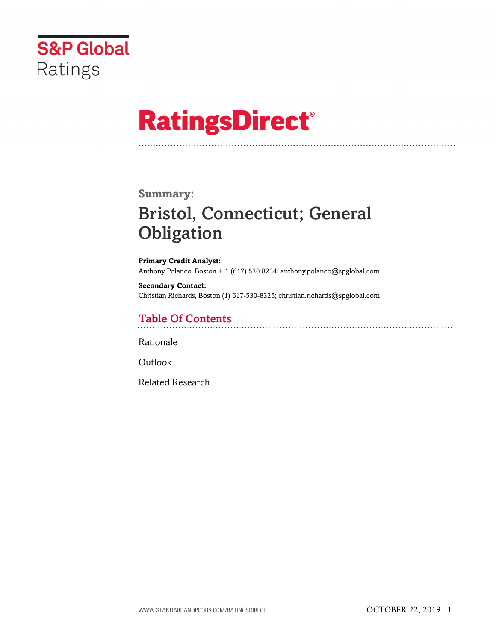

# **RatingsDirect®**

### **Summary:**

# Bristol, Connecticut; General **Obligation**

**Primary Credit Analyst:** Anthony Polanco, Boston + 1 (617) 530 8234; anthony.polanco@spglobal.com

**Secondary Contact:** Christian Richards, Boston (1) 617-530-8325; christian.richards@spglobal.com

# Table Of Contents

[Rationale](#page-1-0)

[Outlook](#page-5-0)

[Related Research](#page-5-1)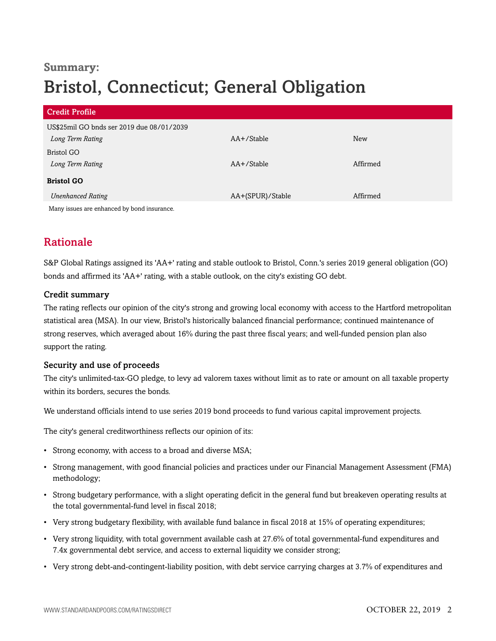# **Summary:** Bristol, Connecticut; General Obligation

| <b>Credit Profile</b>                                         |                  |            |
|---------------------------------------------------------------|------------------|------------|
| US\$25mil GO bnds ser 2019 due 08/01/2039<br>Long Term Rating | AA+/Stable       | <b>New</b> |
| Bristol GO<br>Long Term Rating                                | AA+/Stable       | Affirmed   |
| <b>Bristol GO</b>                                             |                  |            |
| <b>Unenhanced Rating</b>                                      | AA+(SPUR)/Stable | Affirmed   |
| Many issues are enhanced by bond insurance                    |                  |            |

<span id="page-1-0"></span>Many issues are enhanced by bond insurance.

## Rationale

S&P Global Ratings assigned its 'AA+' rating and stable outlook to Bristol, Conn.'s series 2019 general obligation (GO) bonds and affirmed its 'AA+' rating, with a stable outlook, on the city's existing GO debt.

#### Credit summary

The rating reflects our opinion of the city's strong and growing local economy with access to the Hartford metropolitan statistical area (MSA). In our view, Bristol's historically balanced financial performance; continued maintenance of strong reserves, which averaged about 16% during the past three fiscal years; and well-funded pension plan also support the rating.

#### Security and use of proceeds

The city's unlimited-tax-GO pledge, to levy ad valorem taxes without limit as to rate or amount on all taxable property within its borders, secures the bonds.

We understand officials intend to use series 2019 bond proceeds to fund various capital improvement projects.

The city's general creditworthiness reflects our opinion of its:

- Strong economy, with access to a broad and diverse MSA;
- Strong management, with good financial policies and practices under our Financial Management Assessment (FMA) methodology;
- Strong budgetary performance, with a slight operating deficit in the general fund but breakeven operating results at the total governmental-fund level in fiscal 2018;
- Very strong budgetary flexibility, with available fund balance in fiscal 2018 at 15% of operating expenditures;
- Very strong liquidity, with total government available cash at 27.6% of total governmental-fund expenditures and 7.4x governmental debt service, and access to external liquidity we consider strong;
- Very strong debt-and-contingent-liability position, with debt service carrying charges at 3.7% of expenditures and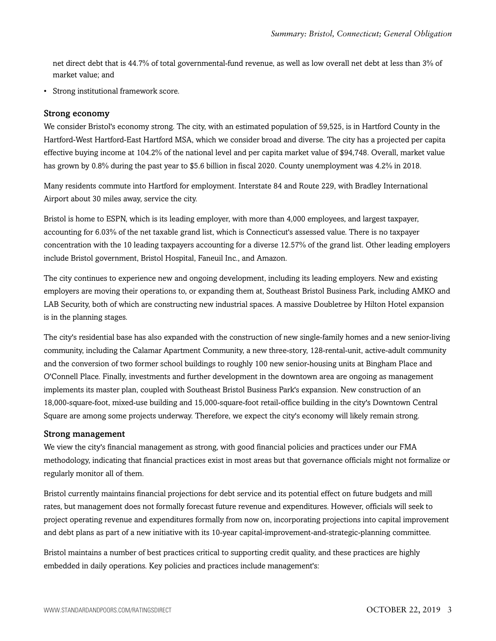net direct debt that is 44.7% of total governmental-fund revenue, as well as low overall net debt at less than 3% of market value; and

• Strong institutional framework score.

#### Strong economy

We consider Bristol's economy strong. The city, with an estimated population of 59,525, is in Hartford County in the Hartford-West Hartford-East Hartford MSA, which we consider broad and diverse. The city has a projected per capita effective buying income at 104.2% of the national level and per capita market value of \$94,748. Overall, market value has grown by 0.8% during the past year to \$5.6 billion in fiscal 2020. County unemployment was 4.2% in 2018.

Many residents commute into Hartford for employment. Interstate 84 and Route 229, with Bradley International Airport about 30 miles away, service the city.

Bristol is home to ESPN, which is its leading employer, with more than 4,000 employees, and largest taxpayer, accounting for 6.03% of the net taxable grand list, which is Connecticut's assessed value. There is no taxpayer concentration with the 10 leading taxpayers accounting for a diverse 12.57% of the grand list. Other leading employers include Bristol government, Bristol Hospital, Faneuil Inc., and Amazon.

The city continues to experience new and ongoing development, including its leading employers. New and existing employers are moving their operations to, or expanding them at, Southeast Bristol Business Park, including AMKO and LAB Security, both of which are constructing new industrial spaces. A massive Doubletree by Hilton Hotel expansion is in the planning stages.

The city's residential base has also expanded with the construction of new single-family homes and a new senior-living community, including the Calamar Apartment Community, a new three-story, 128-rental-unit, active-adult community and the conversion of two former school buildings to roughly 100 new senior-housing units at Bingham Place and O'Connell Place. Finally, investments and further development in the downtown area are ongoing as management implements its master plan, coupled with Southeast Bristol Business Park's expansion. New construction of an 18,000-square-foot, mixed-use building and 15,000-square-foot retail-office building in the city's Downtown Central Square are among some projects underway. Therefore, we expect the city's economy will likely remain strong.

#### Strong management

We view the city's financial management as strong, with good financial policies and practices under our FMA methodology, indicating that financial practices exist in most areas but that governance officials might not formalize or regularly monitor all of them.

Bristol currently maintains financial projections for debt service and its potential effect on future budgets and mill rates, but management does not formally forecast future revenue and expenditures. However, officials will seek to project operating revenue and expenditures formally from now on, incorporating projections into capital improvement and debt plans as part of a new initiative with its 10-year capital-improvement-and-strategic-planning committee.

Bristol maintains a number of best practices critical to supporting credit quality, and these practices are highly embedded in daily operations. Key policies and practices include management's: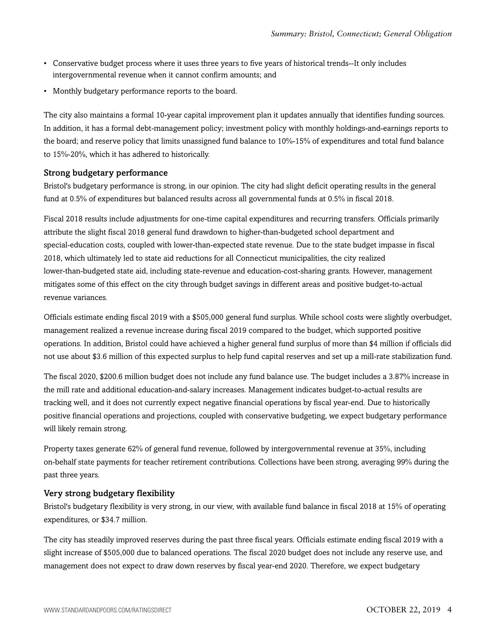- Conservative budget process where it uses three years to five years of historical trends--It only includes intergovernmental revenue when it cannot confirm amounts; and
- Monthly budgetary performance reports to the board.

The city also maintains a formal 10-year capital improvement plan it updates annually that identifies funding sources. In addition, it has a formal debt-management policy; investment policy with monthly holdings-and-earnings reports to the board; and reserve policy that limits unassigned fund balance to 10%-15% of expenditures and total fund balance to 15%-20%, which it has adhered to historically.

#### Strong budgetary performance

Bristol's budgetary performance is strong, in our opinion. The city had slight deficit operating results in the general fund at 0.5% of expenditures but balanced results across all governmental funds at 0.5% in fiscal 2018.

Fiscal 2018 results include adjustments for one-time capital expenditures and recurring transfers. Officials primarily attribute the slight fiscal 2018 general fund drawdown to higher-than-budgeted school department and special-education costs, coupled with lower-than-expected state revenue. Due to the state budget impasse in fiscal 2018, which ultimately led to state aid reductions for all Connecticut municipalities, the city realized lower-than-budgeted state aid, including state-revenue and education-cost-sharing grants. However, management mitigates some of this effect on the city through budget savings in different areas and positive budget-to-actual revenue variances.

Officials estimate ending fiscal 2019 with a \$505,000 general fund surplus. While school costs were slightly overbudget, management realized a revenue increase during fiscal 2019 compared to the budget, which supported positive operations. In addition, Bristol could have achieved a higher general fund surplus of more than \$4 million if officials did not use about \$3.6 million of this expected surplus to help fund capital reserves and set up a mill-rate stabilization fund.

The fiscal 2020, \$200.6 million budget does not include any fund balance use. The budget includes a 3.87% increase in the mill rate and additional education-and-salary increases. Management indicates budget-to-actual results are tracking well, and it does not currently expect negative financial operations by fiscal year-end. Due to historically positive financial operations and projections, coupled with conservative budgeting, we expect budgetary performance will likely remain strong.

Property taxes generate 62% of general fund revenue, followed by intergovernmental revenue at 35%, including on-behalf state payments for teacher retirement contributions. Collections have been strong, averaging 99% during the past three years.

#### Very strong budgetary flexibility

Bristol's budgetary flexibility is very strong, in our view, with available fund balance in fiscal 2018 at 15% of operating expenditures, or \$34.7 million.

The city has steadily improved reserves during the past three fiscal years. Officials estimate ending fiscal 2019 with a slight increase of \$505,000 due to balanced operations. The fiscal 2020 budget does not include any reserve use, and management does not expect to draw down reserves by fiscal year-end 2020. Therefore, we expect budgetary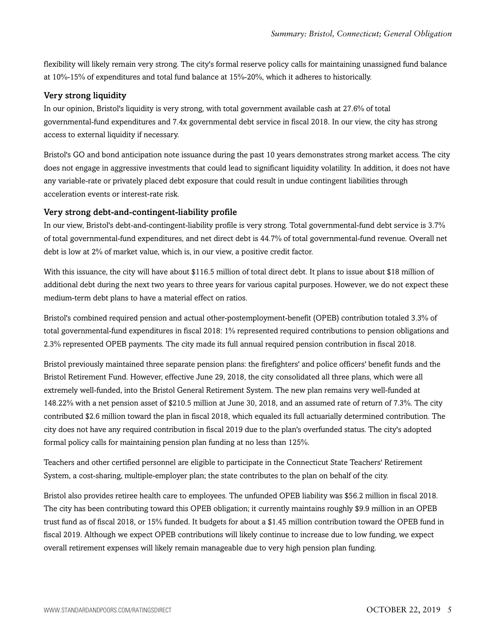flexibility will likely remain very strong. The city's formal reserve policy calls for maintaining unassigned fund balance at 10%-15% of expenditures and total fund balance at 15%-20%, which it adheres to historically.

#### Very strong liquidity

In our opinion, Bristol's liquidity is very strong, with total government available cash at 27.6% of total governmental-fund expenditures and 7.4x governmental debt service in fiscal 2018. In our view, the city has strong access to external liquidity if necessary.

Bristol's GO and bond anticipation note issuance during the past 10 years demonstrates strong market access. The city does not engage in aggressive investments that could lead to significant liquidity volatility. In addition, it does not have any variable-rate or privately placed debt exposure that could result in undue contingent liabilities through acceleration events or interest-rate risk.

#### Very strong debt-and-contingent-liability profile

In our view, Bristol's debt-and-contingent-liability profile is very strong. Total governmental-fund debt service is 3.7% of total governmental-fund expenditures, and net direct debt is 44.7% of total governmental-fund revenue. Overall net debt is low at 2% of market value, which is, in our view, a positive credit factor.

With this issuance, the city will have about \$116.5 million of total direct debt. It plans to issue about \$18 million of additional debt during the next two years to three years for various capital purposes. However, we do not expect these medium-term debt plans to have a material effect on ratios.

Bristol's combined required pension and actual other-postemployment-benefit (OPEB) contribution totaled 3.3% of total governmental-fund expenditures in fiscal 2018: 1% represented required contributions to pension obligations and 2.3% represented OPEB payments. The city made its full annual required pension contribution in fiscal 2018.

Bristol previously maintained three separate pension plans: the firefighters' and police officers' benefit funds and the Bristol Retirement Fund. However, effective June 29, 2018, the city consolidated all three plans, which were all extremely well-funded, into the Bristol General Retirement System. The new plan remains very well-funded at 148.22% with a net pension asset of \$210.5 million at June 30, 2018, and an assumed rate of return of 7.3%. The city contributed \$2.6 million toward the plan in fiscal 2018, which equaled its full actuarially determined contribution. The city does not have any required contribution in fiscal 2019 due to the plan's overfunded status. The city's adopted formal policy calls for maintaining pension plan funding at no less than 125%.

Teachers and other certified personnel are eligible to participate in the Connecticut State Teachers' Retirement System, a cost-sharing, multiple-employer plan; the state contributes to the plan on behalf of the city.

Bristol also provides retiree health care to employees. The unfunded OPEB liability was \$56.2 million in fiscal 2018. The city has been contributing toward this OPEB obligation; it currently maintains roughly \$9.9 million in an OPEB trust fund as of fiscal 2018, or 15% funded. It budgets for about a \$1.45 million contribution toward the OPEB fund in fiscal 2019. Although we expect OPEB contributions will likely continue to increase due to low funding, we expect overall retirement expenses will likely remain manageable due to very high pension plan funding.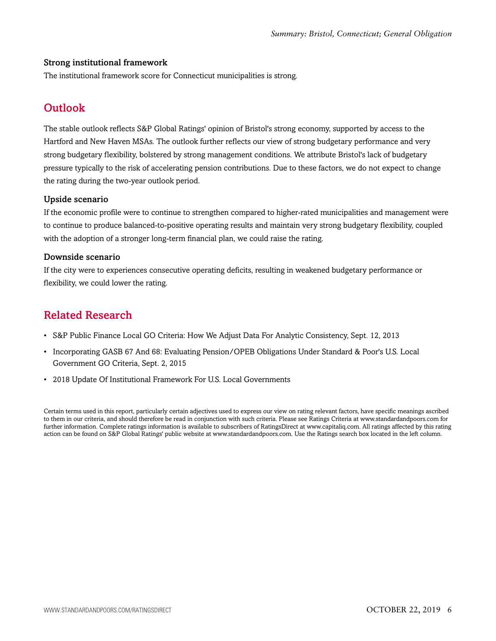#### Strong institutional framework

<span id="page-5-0"></span>The institutional framework score for Connecticut municipalities is strong.

### **Outlook**

The stable outlook reflects S&P Global Ratings' opinion of Bristol's strong economy, supported by access to the Hartford and New Haven MSAs. The outlook further reflects our view of strong budgetary performance and very strong budgetary flexibility, bolstered by strong management conditions. We attribute Bristol's lack of budgetary pressure typically to the risk of accelerating pension contributions. Due to these factors, we do not expect to change the rating during the two-year outlook period.

#### Upside scenario

If the economic profile were to continue to strengthen compared to higher-rated municipalities and management were to continue to produce balanced-to-positive operating results and maintain very strong budgetary flexibility, coupled with the adoption of a stronger long-term financial plan, we could raise the rating.

#### Downside scenario

If the city were to experiences consecutive operating deficits, resulting in weakened budgetary performance or flexibility, we could lower the rating.

### <span id="page-5-1"></span>Related Research

- S&P Public Finance Local GO Criteria: How We Adjust Data For Analytic Consistency, Sept. 12, 2013
- Incorporating GASB 67 And 68: Evaluating Pension/OPEB Obligations Under Standard & Poor's U.S. Local Government GO Criteria, Sept. 2, 2015
- 2018 Update Of Institutional Framework For U.S. Local Governments

Certain terms used in this report, particularly certain adjectives used to express our view on rating relevant factors, have specific meanings ascribed to them in our criteria, and should therefore be read in conjunction with such criteria. Please see Ratings Criteria at www.standardandpoors.com for further information. Complete ratings information is available to subscribers of RatingsDirect at www.capitaliq.com. All ratings affected by this rating action can be found on S&P Global Ratings' public website at www.standardandpoors.com. Use the Ratings search box located in the left column.